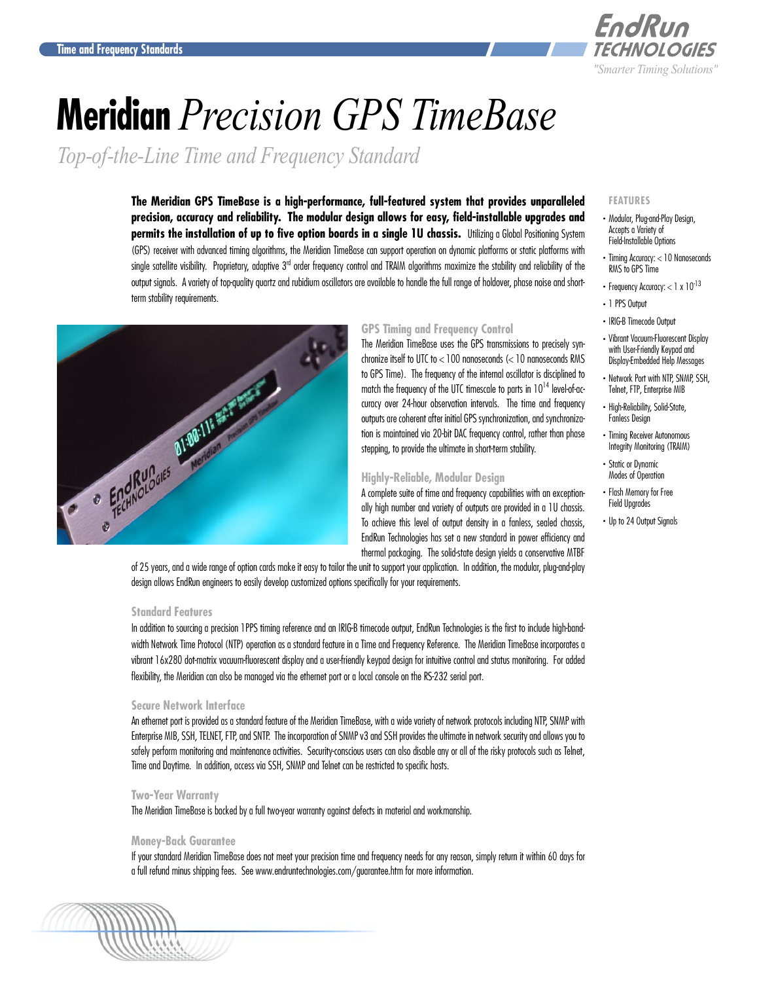

# **Meridian** *Precision GPS TimeBase*

*Top-of-the-Line Time and Frequency Standard*

**The Meridian GPS TimeBase is a high-performance, full-featured system that provides unparalleled precision, accuracy and reliability. The modular design allows for easy, field-installable upgrades and permits the installation of up to five option boards in a single 1U chassis.** Utilizing a Global Positioning System (GPS) receiver with advanced timing algorithms, the Meridian TimeBase can support operation on dynamic platforms or static platforms with single satellite visibility. Proprietary, adaptive 3<sup>rd</sup> order frequency control and TRAIM algorithms maximize the stability and reliability of the output signals. A variety of top-quality quartz and rubidium oscillators are available to handle the full range of holdover, phase noise and shortterm stability requirements.



## **GPS Timing and Frequency Control**

The Meridian TimeBase uses the GPS transmissions to precisely synchronize itself to UTC to < 100 nanoseconds (< 10 nanoseconds RMS to GPS Time). The frequency of the internal oscillator is disciplined to match the frequency of the UTC timescale to parts in  $10^{14}$  level-of-accuracy over 24-hour observation intervals. The time and frequency outputs are coherent after initial GPS synchronization, and synchronization is maintained via 20-bit DAC frequency control, rather than phase stepping, to provide the ultimate in short-term stability.

## **Highly-Reliable, Modular Design**

A complete suite of time and frequency capabilities with an exceptionally high number and variety of outputs are provided in a 1U chassis. To achieve this level of output density in a fanless, sealed chassis, EndRun Technologies has set a new standard in power efficiency and thermal packaging. The solid-state design yields a conservative MTBF

of 25 years, and a wide range of option cards make it easy to tailor the unit to support your application. In addition, the modular, plug-and-play design allows EndRun engineers to easily develop customized options specifically for your requirements.

## **Standard Features**

In addition to sourcing a precision 1PPS timing reference and an IRIG-B timecode output, EndRun Technologies is the first to include high-bandwidth Network Time Protocol (NTP) operation as a standard feature in a Time and Frequency Reference. The Meridian TimeBase incorporates a vibrant 16x280 dot-matrix vacuum-fluorescent display and a user-friendly keypad design for intuitive control and status monitoring. For added flexibility, the Meridian can also be managed via the ethernet port or a local console on the RS-232 serial port.

## **Secure Network Interface**

An ethernet port is provided as a standard feature of the Meridian TimeBase, with a wide variety of network protocols including NTP, SNMP with Enterprise MIB, SSH, TELNET, FTP, and SNTP. The incorporation of SNMP v3 and SSH provides the ultimate in network security and allows you to safely perform monitoring and maintenance activities. Security-conscious users can also disable any or all of the risky protocols such as Telnet, Time and Daytime. In addition, access via SSH, SNMP and Telnet can be restricted to specific hosts.

## **Two-Year Warranty**

The Meridian TimeBase is backed by a full two-year warranty against defects in material and workmanship.

#### **Money-Back Guarantee**

If your standard Meridian TimeBase does not meet your precision time and frequency needs for any reason, simply return it within 60 days for a full refund minus shipping fees. See<www.endruntechnologies.com/guarantee.htm> for more information.



#### **FEATURES**

- . Modular, Plug-and-Play Design, Accepts a Variety of Field-Installable Options
- . Timing Accuracy: < 10 Nanoseconds RMS to GPS Time
- Frequency Accuracy:  $< 1 \times 10^{-13}$
- . 1 PPS Output
- . IRIG-B Timecode Output . Vibrant Vacuum-Fluorescent Display with User-Friendly Keypad and
- Display-Embedded Help Messages . Network Port with NTP, SNMP, SSH, Telnet, FTP, Enterprise MIB
- . High-Reliability, Solid-State, Fanless Design
- . Timing Receiver Autonomous Integrity Monitoring (TRAIM)
- . Static or Dynamic Modes of Operation
- . Flash Memory for Free Field Upgrades
- Up to 24 Output Signals